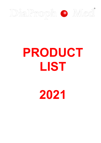

# **PRODUCT LIST**

**2021**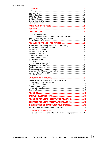| Enzyme Immunoassay & Immunochemiluminiscent Assay 7                        |  |
|----------------------------------------------------------------------------|--|
|                                                                            |  |
|                                                                            |  |
| Severe Acute Respiratory Syndrome (SARS-CoV-2)  8                          |  |
|                                                                            |  |
|                                                                            |  |
|                                                                            |  |
|                                                                            |  |
|                                                                            |  |
|                                                                            |  |
|                                                                            |  |
|                                                                            |  |
|                                                                            |  |
|                                                                            |  |
|                                                                            |  |
|                                                                            |  |
|                                                                            |  |
| Severe Acute Respiratory Syndrome (SARS-CoV-2)  9                          |  |
|                                                                            |  |
|                                                                            |  |
|                                                                            |  |
|                                                                            |  |
|                                                                            |  |
|                                                                            |  |
| REAGENTS FOR MICROPRECIPITATION REACTION  12                               |  |
| CONTROLS FOR MICROPRECIPITATION REACTION  12                               |  |
| <b>IDENTIFICATION OF STAPHYLOCOCCUS SPECIES 12</b>                         |  |
|                                                                            |  |
| <b>DIPHTHERIA DIAGNOSTICS</b>                                              |  |
| Discs coated with diphtheria antitoxin for immunoprecipitation reaction 12 |  |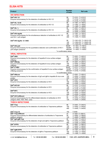# **ELISA KITS**

| <b>Product</b>                                                                                     | <b>Number</b><br>of tests | <b>Ref code</b>                                    |
|----------------------------------------------------------------------------------------------------|---------------------------|----------------------------------------------------|
| <b>HIV INFECTION</b>                                                                               |                           |                                                    |
| $DIA®-HIV 1/2$                                                                                     | 96                        | T1-0101, T1-0101C                                  |
| Enzyme immunoassay for the detection of antibodies to HIV-1/2                                      | 192                       | T1-0102, T1-0102C                                  |
|                                                                                                    | 480                       | T1-0105, T1-0105C                                  |
| <b>DIA<sup>®</sup>-VIL 1/2-III</b>                                                                 | 96                        | T1-1901, T1-1901C                                  |
| Enzyme immunoassay for the detection of antibodies to HIV-1/2                                      | 192                       | T1-1902, T1-1902C                                  |
|                                                                                                    | 480                       | T1-1905, T1-1905C                                  |
| $DIA®-VIL1/2$                                                                                      | 96<br>192                 | T1-2501, T1-2501C<br>T1-2502, T1-2502C             |
| Enzyme immunoassay for the detection of antibodies to HIV-1/2                                      | 480                       | T1-2505, T1-2505C                                  |
| DIA®-HIV-Ag/Ab                                                                                     | 96                        | T1-1501, T1-1501C                                  |
| Enzyme immunoassay for the simultaneous detection of antibodies to HIV 1/2                         | 192                       | T1-1502, T1-1502C                                  |
| and HIV-1 p24 antigen                                                                              | 480                       | T1-1505, T1-1505C                                  |
|                                                                                                    |                           |                                                    |
| DIA®-HIV-Ag/Ab C€ 0483                                                                             | 96<br>192                 | T1-1501-CE, T1-1501C-CE<br>T1-1502-CE, T1-1502C-CE |
|                                                                                                    | 480                       | T1-1505-CE, T1-1505C-CE                            |
| DIA®-HIV-p24                                                                                       | 96/48*                    | T1-1601, T1-1601C                                  |
| Enzyme immunoassay for the quantitative detection and confirmation of HIV-1                        | 192/96*                   | T1-1602, T1-1602C                                  |
| p24 antigen presence                                                                               |                           | 480/240* T1-1605, T1-1605C                         |
| * in confirmatory assay                                                                            |                           |                                                    |
| <b>VIRAL HEPATITIS</b>                                                                             |                           |                                                    |
| DIA <sup>®</sup> -HBV                                                                              | 96                        | T1-0201, T1-0201C                                  |
| Enzyme immunoassay for the detection of hepatitis B virus surface antigen                          | 192                       | T1-0202, T1-0202C                                  |
| (HBsAg)                                                                                            | 480                       | T1-0205, T1-0205C                                  |
| $\overline{DIA}^{\circ}$ -HBsAg                                                                    | 96                        | T1-2001, T1-2001C                                  |
| Enzyme immunoassay for the detection of hepatitis B virus surface antigen                          | 192<br>480                | T1-2002, T1-2002C                                  |
| (HBsAg)<br>DIA®-C-HBV                                                                              | 96/48*                    | T1-2005, T1-2005C<br>T1-0701, T1-0701C             |
| Enzyme immunoassay for the confirmation of hepatitis B virus surface antigen                       | 192/96*                   | T1-0702, T1-0702C                                  |
| (HBsAg) presence                                                                                   |                           | 480/240* T1-0705, T1-0705C                         |
| * in confirmatory assay                                                                            |                           |                                                    |
| DIA <sup>®</sup> -HBcore                                                                           | 96                        | T1-0501, T1-0501C                                  |
| Enzyme immunoassay for the detection of IgG and IgM to hepatitis B virus core                      | 192                       | T1-0502, T1-0502C                                  |
| protein                                                                                            | 480                       | T1-0505, T1-0505C                                  |
| DIA®-HCV                                                                                           | 96<br>192                 | T1-0301, T1-0301C<br>T1-0302, T1-0302C             |
| Enzyme immunoassay for the detection of antibodies to HCV                                          | 480                       | T1-0305, T1-0305C                                  |
| DIA®-HCV-III                                                                                       | 96                        | T1-2101, T1-2101C                                  |
| Enzyme immunoassay for the detection of antibodies to HCV                                          | 192                       | T1-2102, T1-2102C                                  |
|                                                                                                    | 480                       | T1-2105, T1-2105C                                  |
| DIA <sup>®</sup> -BFC                                                                              | 96                        | T1-2201, T1-2201C                                  |
| Enzyme immunoassay for the detection of antibodies to HCV                                          | 192                       | T1-2202, T1-2202C                                  |
| DIA <sup>®</sup> -HCV-different                                                                    | 480<br>24                 | T1-2205, T1-2205C<br>T1-2401, T1-2401C             |
| Enzyme immunoassay for the differentiated detection of antibodies to HCV                           | 48                        | T1-2402, T1-2402C                                  |
| antigens (NS3, NS4, NS5, core)                                                                     | 120                       | T1-2405, T1-2405C                                  |
| <b>TORCH INFECTIONS</b>                                                                            |                           |                                                    |
|                                                                                                    |                           |                                                    |
| DIA <sup>®</sup> -Trep<br>Enzyme immunoassay for the detection of antibodies to Treponema pallidum | 96<br>192                 | T1-0401, T1-0401C<br>T1-0402, T1-0402C             |
|                                                                                                    | 480                       | T1-0405, T1-0405C                                  |
|                                                                                                    |                           |                                                    |
| DIA <sup>®</sup> -Trep $\mathsf C \mathsf E$                                                       | 192                       | T-0406                                             |
| DIA <sup>®</sup> -Trep-different                                                                   | 24                        | T1-0801,T1-0801C                                   |
| Enzyme immunoassay for differentiated detection of antibodies to Treponema<br>pallidum antigens    | 48<br>120                 | T1-0802, T1-0802C<br>T1-0805, T1-0805C             |
| DIA <sup>®</sup> -IgG-IgM-Trep                                                                     | $\overline{96}$           | T1-2301, T1-2301C                                  |
| Enzyme immunoassay for the detection of IgG and IgM to Treponema pallidum                          | 192                       | T1-2302, T1-2302C                                  |
|                                                                                                    | 480                       | T1-2305, T1-2305C                                  |
| <b>DIA<sup>®</sup>-SYPH</b>                                                                        | 96                        | T1-0601, T1-0601C                                  |
| Enzyme immunoassay for the detection of antibodies to Treponema pallidum                           | 192                       | T1-0602, T1-0602C                                  |
|                                                                                                    | 480                       | T1-0605, T1-0605C                                  |
| DIA <sup>®</sup> -IgM-SYPH<br>Enzyme immunoassay for the detection of IgM to Treponema pallidum    | 96<br>192                 | T1-1001, T1-1001C<br>T1-1002, T1-1002C             |
|                                                                                                    | 480                       | T1-1005, T1-1005C                                  |
|                                                                                                    |                           |                                                    |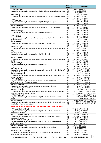| <b>Product</b>                                          |                                                                                 |                       | <b>Number</b><br>of tests | <b>Ref code</b>                             |
|---------------------------------------------------------|---------------------------------------------------------------------------------|-----------------------|---------------------------|---------------------------------------------|
| DIA <sup>®</sup> -Chlamydia                             |                                                                                 |                       | 96                        | T1-0901, T1-0901C                           |
|                                                         | Enzyme immunoassay for the detection of IgG and IgA to Chlamydia trachomatis    |                       | 192                       | T1-0902, T1-0902C                           |
|                                                         |                                                                                 |                       | 480                       | T1-0905, T1-0905C                           |
| DIA <sup>®</sup> -Toxo-IgG                              |                                                                                 |                       | 96                        | T1-11G01, T1-11G01C                         |
|                                                         | Enzyme immunoassay for the quantitative detection of IgG to Toxoplasma gondii   |                       | 192                       | T1-11G02, T1-11G02C                         |
|                                                         |                                                                                 |                       | 480                       | T1-11G05, T1-11G05C                         |
| DIA <sup>®</sup> -Toxo-IgM                              |                                                                                 |                       | 96                        | T1-11M01, T1-11M01C                         |
|                                                         | Enzyme immunoassay for the detection of IgM to Toxoplasma gondii                |                       | 192                       | T1-11M02, T1-11M02C                         |
|                                                         |                                                                                 |                       | 480                       | T1-11M05, T1-11M05C                         |
| DIA <sup>®</sup> -Rubella-IgG                           |                                                                                 |                       | 96                        | T1-12G01, T1-12G01C                         |
|                                                         | Enzyme immunoassay for the quantitative detection of IgG to rubella virus       |                       | 192                       | T1-12G02, T1-12G02C                         |
|                                                         |                                                                                 |                       | 480                       | T1-12G05, T1-12G05C                         |
| DIA <sup>®</sup> -Rubella-IgM                           |                                                                                 |                       | 96                        | T1-12M01, T1-12M01C                         |
|                                                         | Enzyme immunoassay for the detection of IgM to rubella virus                    |                       | 192                       | T1-12M02, T1-12M02C                         |
|                                                         |                                                                                 |                       | 480                       | T1-12M05, T1-12M05C                         |
| DIA <sup>®</sup> -CMV-IgG                               |                                                                                 |                       | 96                        | T1-13G01, T1-13G01C                         |
|                                                         | Enzyme immunoassay for the qualitative and semiquantitative detection of IgG to |                       | 192                       | T1-13G02, T1-13G02C                         |
| cytomegalovirus                                         |                                                                                 |                       | 480                       | T1-13G05, T1-13G05C                         |
| DIA <sup>®</sup> -CMV-IgM                               |                                                                                 |                       | 96                        | T1-13M01, T1-13M01C                         |
|                                                         | Enzyme immunoassay for the detection of IgM to cytomegalovirus                  |                       | 192                       | T1-13M02, T1-13M02C                         |
|                                                         |                                                                                 |                       | 480                       | T1-13M05, T1-13M05C                         |
| DIA <sup>®</sup> -HSV 1/2-IgG                           |                                                                                 |                       | 96                        | T1-14G01, T1-14G01C                         |
|                                                         | Enzyme immunoassay for the qualitative and semiquantitative detection of IgG to |                       | 192                       | T1-14G02, T1-14G02C                         |
| <b>HSV-1/2</b>                                          |                                                                                 |                       | 480                       | T1-14G05, T1-14G05C                         |
| $DIA^{\otimes}-HSV \frac{1}{2}$ -IgM                    |                                                                                 |                       | 96                        | T1-14M01, T1-14M01C                         |
| Enzyme immunoassay for the detection of IgM to HSV-1/2  |                                                                                 |                       | 192                       | T1-14M02, T1-14M02C                         |
| DIA <sup>®</sup> -HSV 2-IgG                             |                                                                                 |                       | 480<br>96                 | T1-14M05, T1-14M05C                         |
|                                                         |                                                                                 |                       |                           | T1-17G01, T1-17G01C                         |
| HSV-2                                                   | Enzyme immunoassay for the qualitative and semiquantitative detection of IgG to |                       | 192<br>480                | T1-17G02, T1-17G02C                         |
| DIA <sup>®</sup> -HSV 2-IgM                             |                                                                                 |                       | 96                        | T1-17G05, T1-17G05C<br>T1-17M01, T1-17M01C  |
| Enzyme immunoassay for the detection of IgM to HSV-2    |                                                                                 |                       | 192                       | T1-17M02, T1-17M02C                         |
|                                                         |                                                                                 |                       | 480                       | T1-17M05, T1-17M05C                         |
| DIA <sup>®</sup> -Toxo-IgG-av                           |                                                                                 |                       | 96                        | T1-11G01A, T1-11G01CA                       |
|                                                         | Enzyme immunoassay for the quantitative detection and avidity determination of  |                       | 192                       | T1-11G02A, T1-11G02CA                       |
| IgG to Toxoplasma gondii                                |                                                                                 |                       | 480                       | T1-11G05A, T1-11G05CA                       |
| DIA <sup>®</sup> -Rubella-IgG-av                        |                                                                                 |                       | 96                        | T1-12G01A, T1-12G01CA                       |
|                                                         | Enzyme immunoassay for the quantitative detection and avidity determination of  |                       | 192                       | T1-12G02A, T1-12G02CA                       |
| IgG to rubella virus                                    |                                                                                 |                       | 480                       | T1-12G05A, T1-12G05CA                       |
| DIA <sup>®</sup> -CMV-IgG-av                            |                                                                                 |                       | 96                        | T1-13G01A, T1-13G01CA                       |
|                                                         | Enzyme immunoassay for the semiguantitative detection and avidity               |                       | 192                       | T1-13G02A, T1-13G02CA                       |
| determination of IgG to cytomegalovirus                 |                                                                                 |                       | 480                       | T1-13G05A, T1-13G05CA                       |
| DIA <sup>®</sup> -HSV 2-IgG-av                          |                                                                                 |                       | 96                        | T1-17G01A, T1-17G01CA                       |
|                                                         | Enzyme immunoassay for the semiquantitative detection and avidity               |                       | 192                       | T1-17G02A, T1-17G02CA                       |
| determination of IgG to HSV-2                           |                                                                                 |                       | 480                       | T1-17G05A, T1-17G05CA                       |
| DIA <sup>®</sup> -EBV-VCA-IgG                           |                                                                                 |                       | 96                        | T1-18VCAG-01, T1-18VCAG-01C                 |
|                                                         | Enzyme immunoassay for the qualitative and semiquantitative detection of IgG    |                       | 192                       | T1-18VCAG-02, T1-18VCAG-02C                 |
| to Epstain-Barr virus capsid antigen                    |                                                                                 |                       | 480                       | T1-18VCAG-05, T1-18VCAG-05C                 |
| DIA <sup>®</sup> -EBV-VCA-IgM                           |                                                                                 |                       | 96                        | T1-18VCAM-01, T1-18VCAM-01C                 |
|                                                         | Enzyme immunoassay for the detection of IgM to Epstain-Barr virus capsid        |                       | 192                       | T1-18VCAM-02, T1-18VCAM-02C                 |
| antigen                                                 |                                                                                 |                       | 480                       | T1-18VCAM-05, T1-18VCAM-05C                 |
| DIA <sup>®</sup> -EBNA-IgG                              |                                                                                 |                       | 96                        | T1-18EBNAG-01, T1-18EBNAG-01C               |
|                                                         | Enzyme immunoassay for the qualitative and semiquantitative detection of IgG to |                       | 192                       | T1-18EBNAG-02, T1-18EBNAG-02C               |
| Epstain-Barr virus nuclear antigen                      |                                                                                 |                       | 480                       | T1-18EBNAG-05, T1-18EBNAG-05C               |
|                                                         | <b>SEVERE ACUTE RESPIRATORY SYNDROME (SARS-CoV-2)</b>                           |                       |                           |                                             |
|                                                         |                                                                                 |                       |                           |                                             |
| DIA <sup>®</sup> -SARS-CoV-2-NP-IgG CE                  |                                                                                 |                       | 96                        | T1-26G01, T1-26G01C                         |
|                                                         | Enzyme immunoassay for the detection of IgG to SARS-CoV-2 coronavirus           |                       | 192                       | T1-26G02, T1-26G02C                         |
| nucleocapsid antigen                                    |                                                                                 |                       | 480                       | T1-26G05, T1-26G05C                         |
| DIA <sup>®</sup> -SARS-CoV-2-NP-IgM CE                  |                                                                                 |                       | 96                        | T1-26M01, T1-26M01C                         |
|                                                         | Enzyme immunoassay for the detection of IgM to SARS-CoV-2 coronavirus           |                       | 192                       | T1-26M02, T1-26M02C                         |
| nucleocapsid antigen                                    |                                                                                 |                       | 480                       | T1-26M05, T1-26M05C                         |
| DIA <sup>®</sup> -SARS-CoV-2-NP-IgA CE                  |                                                                                 |                       | 96                        | T1-26A01, T1-26A01C                         |
|                                                         | Enzyme immunoassay for the detection of IgA to SARS-CoV-2 coronavirus           |                       | 192                       | T1-26A02, T1-26A02C                         |
| nucleocapsid antigen<br>DIA <sup>®</sup> -SARS-CoV-2 CE |                                                                                 |                       | 480                       | T1-26A05, T1-26A05C                         |
|                                                         |                                                                                 |                       | 96                        | T1-2601, T1-2601C                           |
|                                                         | Enzyme immunoassay for the detection of antibodies to SARS-CoV-2                |                       | 192<br>480                | T1-2602, T1-2602C                           |
| DIA <sup>®</sup> -SARS-CoV-2-NP-S-IgG                   |                                                                                 |                       | 96                        | T1-2605, T1-2605C                           |
|                                                         | Enzyme immunoassay for the detection of IgG to SARS-CoV-2 coronavirus           |                       | 192                       | T1-33G01, T1-33G01C,<br>T1-33G02, T1-33G02C |
| nucleocapsid and spike antigens                         |                                                                                 |                       | 480                       | T1-33G05, T1-33G05C                         |
|                                                         |                                                                                 |                       |                           |                                             |
| e-mail: tech@diapr.kiev.ua                              | Tel. +38 044 463-0603                                                           | Fax: +38 044 463-0602 |                           | 4<br><b>PJSC «SPC «DIAPROPH-MED»</b>        |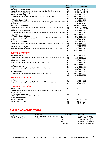| <b>Product</b>                                                                                   | <b>Number</b><br>of tests | <b>Ref code</b>      |
|--------------------------------------------------------------------------------------------------|---------------------------|----------------------|
| DIA <sup>®</sup> -SARS-CoV-2-NP-S-IgM                                                            | 96                        | T1-33M01, T1-33M01C, |
| Enzyme immunoassay for the detection of IgM to SARS-CoV-2 coronavirus                            | 192                       | T1-33M02, T1-33M02C  |
| nucleocapsid and spike antigens                                                                  | 480                       | T1-33M05, T1-33M05C  |
| DIA <sup>®</sup> -SARS-CoV-2-Ag                                                                  | $\overline{96}$           | T1-3201, T1-3201C    |
| Enzyme immunoassay for the detection of SARS-CoV-2 antigen                                       | 192                       | T1-3202, T1-3202C    |
|                                                                                                  | 480                       | T1-3205, T1-3205C    |
| DIA <sup>®</sup> -SARS-CoV-2-Ag-R                                                                | $\overline{96}$           | T1-3401, T1-3401C    |
| Enzyme immunoassay for the detection of SARS-CoV-2 antigen in respiratory tract                  | 192                       | T1-3402, T1-3402C    |
| specimens                                                                                        | 480                       | T1-3405, T1-3405C    |
| DIA <sup>®</sup> -SARS-CoV-2-S-IgG                                                               | 96                        | T1-36G01, T1-36G01C  |
| Enzyme immunoassay for the quantitative detection of IgG to SARS-CoV-2 spike                     | 192                       | T1-36G02, T1-36G02C  |
| antigen                                                                                          | 480                       | T1-36G05, T1-36G05C  |
| DIA <sup>®</sup> -SARS-CoV-2-different                                                           | 96                        | T1-3701, T1-3701C    |
| Enzyme immunoassay for the differentiated detection of antibodies to SARS-CoV-                   | 192                       | T1-3702, T1-3702C    |
| 2 antigens                                                                                       | 480                       | T1-3705, T1-3705C    |
| DIA <sup>®</sup> -SARS-CoV-2-S-IgG-av                                                            | 96                        | T1-3801, T1-3801C    |
| Enzyme immunoassay for the avidity determination of IgG to SARS-CoV-2 spike                      | 192                       | T1-3802, T1-3802C    |
| antigen                                                                                          | 480                       | T1-3805, T1-3805C    |
| DIA <sup>®</sup> -SARS-CoV-2-nAb                                                                 | 96                        | T1-3901, T1-3901C    |
| Enzyme immunoassay for the detection of SARS-CoV-2 neutralizing antibodies                       | 192                       | T1-3902, T1-3902C    |
|                                                                                                  | 480                       | T1-3905, T1-3905C    |
| DIA <sup>®</sup> -SARS-CoV-2-Ag-2T                                                               | 96                        | T1-4001, T1-4001C    |
| Dual-targeted enzyme immunoassay for the detection of SARS-CoV-2 antigens                        | 192                       | T1-4002, T1-4002C    |
|                                                                                                  | 480                       | T1-4005, T1-4005C    |
| <b>CLOTTING FACTORS</b>                                                                          |                           |                      |
| <b>DIA<sup>®</sup>-Hemostasis</b>                                                                | 96                        | T1-2701, T1-2701C,   |
| Enzyme immunoassay for quantitative detection of fibrinogen, soluble fibrin and                  | 192                       | T1-2702, T1-2702C,   |
| D-dimer                                                                                          | 480                       | T1-2705, T1-2705C    |
| DIA <sup>®</sup> -D-dimer-ELISA                                                                  | 96                        | T1-4201, T1-4201C,   |
| Reagents (reagent kits) for determining the D-dimer level                                        | 192                       | T1-4202, T1-4202C,   |
|                                                                                                  | 480                       | T1-4205, T1-4205C    |
| DIA <sup>®</sup> -Fibrin soluble                                                                 | 96                        | T1-2901, T1-2901C,   |
| Enzyme immunoassay for quantitative detection of soluble fibrin                                  | 192                       | T1-2902, T1-2902C,   |
|                                                                                                  | 480                       | T1-2905, T1-2905C    |
| DIA <sup>®</sup> -Fibrinogen                                                                     | 96                        | T1-3001, T1-3001C,   |
| Enzyme immunoassay for quantitative detection of fibrinogen                                      | 192                       | T1-3002, T1-3002C,   |
|                                                                                                  | 480                       | T1-3005, T1-3005C    |
| <b>BIOCHEMICAL ELISAS</b>                                                                        |                           |                      |
| <b>DIA<sup>®</sup>-CRP</b>                                                                       |                           |                      |
|                                                                                                  | 96                        | T1-4101, T1-4101C,   |
| Enzyme immunoassay for quantitative detection of C-reactive protein                              | 192                       | T1-4102, T1-4102C,   |
|                                                                                                  | 480                       | T1-4105, T1-4105C    |
| <b>VETERINARY MEDICINE</b>                                                                       |                           |                      |
| DIA <sup>®</sup> -BLV-Ab                                                                         | 960                       | T1-10110             |
| ELISA Kit for detection of antibodies to Bovine leukemia virus (BLV) in cattle<br>serum and milk |                           |                      |
| DIA <sup>®</sup> -Brucella-ab-combi-V                                                            | 960                       | T1-10610             |
| ELISA Kit for detection of anti-Brucella antibodies in productive and domestic                   |                           |                      |
| animal serum and milk                                                                            |                           |                      |
| DIA <sup>®</sup> -Brucella-IgG                                                                   | 96                        | T1-10701, T1-10701C  |
| Anti-Brucella ELISA Kit                                                                          | 192                       | T1-10702, T1-10702C  |
|                                                                                                  | 480                       | T1-10705, T1-10705C  |

# **RAPID DIAGNOSTIC TESTS**

| <b>Product</b>                | <b>Specimen</b>                  | <b>Number of tests</b> | <b>Ref code</b>     |
|-------------------------------|----------------------------------|------------------------|---------------------|
| DIA <sup>®</sup> -COVID-19-Ag | Nasopharyngeal and oropharyngeal |                        | RDT-COVID-19-Aq-1   |
| COVID-19 Ag Rapid Test        | swabs                            | 25                     | RDT-COVID-19-Aq-25  |
|                               |                                  | 50                     | RDT-COVID-19-Aq-50  |
|                               |                                  | 100                    | RDT-COVID-19-Aq-100 |
|                               |                                  | On reauest             | RDT-COVID-19-Aq-OEM |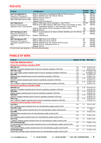#### **PCR KITS**

| <b>Product</b>                                          | Configuration                                                                | <b>Number</b> | <b>Ref</b> |
|---------------------------------------------------------|------------------------------------------------------------------------------|---------------|------------|
|                                                         |                                                                              | of tests      | code       |
| DIA <sup>®</sup> -HCV/HBV/HIV-FL                        | Form 1: QIAsymhony Virus/Bacteria Midi Kit; PCR kit version A                | 96            | PM-031     |
| Real-time PCR assay for                                 | Form 3: MAGNO-sorb 100-1000 kit; PCR kit                                     | 100           | PM-033     |
| simultaneous detection of HCV                           | <b>Form 4: PCR kit version A</b>                                             | 100           | PM-034     |
| RNA, HBV DNA and HIV RNA                                | <b>Form 5: PCR kit</b>                                                       | 100           | PM-035     |
|                                                         | <b>Form 6: PCR kit version 4x</b>                                            | 100           | PM-036     |
| DIA <sup>®</sup> -DNA-HIV-FL                            | <b>Form 1:</b> RIBO-prep 100 kit; Hemolytic (1 vial); PCR kit                | 42/100*       | PM-041     |
| Real-time PCR assay for                                 | Form 2: Kit for DBS collection; RIBO-prep 100 kit; Lysis Solution (2 vials); | 100           | PM-042     |
| detection of HIV-1 proviral DNA                         | Precipitation Solution (1 vial); Hemolytic (1 vial); PCR kit                 |               |            |
|                                                         | <b>Form 3: DNA-sopb-B 100 kit; Hemolytic (2 vials); PCR kit</b>              | 100           | PM-043     |
|                                                         | <b>Form 5: PCR kit</b>                                                       | 120           | PM-045     |
| DIA <sup>®</sup> -HIV-Monitor-M-FL                      | <b>Form 1: Consumables kit for Abbot m2000rt; MAGNO-sorb 100-1000 kit;</b>   | 96            | PM-051     |
| Real-time PCR assay for                                 | PCR kit                                                                      | 24            | PM-053     |
| quantitative detection of HIV-1                         | <b>Form 3: Calibration kit</b>                                               |               |            |
| <b>RNA</b>                                              |                                                                              |               |            |
| DIA <sup>®</sup> -HIV-Monitor-FRT                       | Form 1: RIBO-sorb-12 kit, PCR kit                                            | 48            | PM-061     |
| Real-time PCR assay for                                 | Form 2: RIBO-prep 50 kit, PCR kit                                            | 50            | PM-062     |
| quantitative detection of HIV-1                         | <b>Form 4: MAGNO-sorb 100-1000 kit; PCR kit (2 pcs)</b>                      | 100           | PM-064     |
| <b>RNA</b>                                              | <b>Form 5: PCR kit, Calibration kit HIV-Q</b>                                | 80            | PM-065     |
|                                                         | Form 6: PCR kit                                                              | 80            | PM-066     |
| *42 dried blood spot samples or 100 whole blood samples |                                                                              |               |            |

## **PANELS OF SERA**

#### **Product Aliquot, ml Qty Ref code**

#### **ENZYME IMMUNOASSAY**

| <b>Panels for sensitivity evaluation (SPP)</b>                                                  |                  |           |               |
|-------------------------------------------------------------------------------------------------|------------------|-----------|---------------|
| <b>SPP-HIV-1/2</b>                                                                              | 0,5              | $\geq 10$ | P-01-P1-0,5   |
| Anti-HIV-1/2 positive standard panel of sera for sensitivity evaluation of EIA kits             | 1,0              |           | P-01-P1-1,0   |
| SPP-HIV-1-p24                                                                                   | 0,5              | $\geq 4$  | P-01Ag-P1-0,5 |
| HIV-1 p24 antigen positive standard panel of sera for sensitivity evaluation of EIA kits        | 1,0              |           | P-01Ag-P1-1,0 |
| <b>SPP-HBs</b>                                                                                  | 0,5              | $\geq 4$  | $P-02-P1-0,5$ |
| HBsAg positive standard panel of sera for sensitivity evaluation of EIA kits                    | 1,0              |           | P-02-P1-1,0   |
| <b>SPP-HCV</b>                                                                                  | 0,5              | $\geq 10$ | P-03-P1-0,5   |
| Anti-HCV positive standard panel of sera for sensitivity evaluation of EIA kits                 | 1,0              |           | P-03-P1-1,0   |
| <b>SPP-Trep</b>                                                                                 | 0,5              | $\geq 10$ | P-04-P1-0,5   |
| Anti-T.pallidum positive standard panel of sera for sensitivity evaluation of EIA kits          | 1,0              |           | P-04-P1-1,0   |
| <b>Panels for specificity evaluation (SPN)</b>                                                  |                  |           |               |
| <b>SPN-HIV-1/2</b>                                                                              | 0.5              | $\geq 10$ | P-01-N1-0,5   |
| Anti-HIV-1/2 negative standard panel of sera for specificity evaluation of EIA kits             | 1,0              |           | P-01-N1-1,0   |
| <b>SPN-HBs</b>                                                                                  | 0,5              | $\geq 10$ | P-02-N1-0,5   |
| HBsAg negative standard panel of sera for specificity evaluation of EIA kits                    | 1,0              |           | P-02-N1-1,0   |
| <b>SPN-HCV</b>                                                                                  | 0,5              | $\geq 10$ | P-03-N1-0,5   |
| Anti-HCV negative standard panel of sera for specificity evaluation of EIA kits                 | 1,0              |           | P-03-N1-1,0   |
| <b>SPN-Trep</b>                                                                                 | 0,5              | $\geq 10$ | P-04-N1-0,5   |
| Anti-T.pallidum negative standard panel of sera for specificity evaluation of EIA kits          | 1.0              |           | P-04-N1-1,0   |
| Panels for internal quality control (VLK)                                                       |                  |           |               |
| VLK-HIV-1                                                                                       | 0,5              | $\geq 1$  | P-01-L1-0,5   |
| HIV-1 antibody positive standard serum for intra-laboratory quality control by EIA              |                  |           |               |
| VLK-HIV-1-p24                                                                                   | 0,5              | $\geq 1$  | P-01Ag-L1-    |
| HIV-1 p24 antigen positive standard serum for intra-laboratory quality control by EIA           |                  |           | 0,5           |
| <b>VLK-HBs</b>                                                                                  | 0,5              | $\geq 1$  | $P-02-L1-0,5$ |
| HBsAg positive standard serum for intra-laboratory quality control by EIA                       |                  |           |               |
| <b>VLK-HCV</b>                                                                                  | 0,5              | $\geq 1$  | $P-03-L1-0,5$ |
| HCV antibody positive standard serum for intra-laboratory quality control by EIA                |                  |           |               |
| <b>VLK-Trep</b>                                                                                 | 0,5              | $\geq 1$  | $P-04-L1-0,5$ |
| T.pallidum antibody positive standard serum for intra-laboratory quality control by EIA         |                  |           |               |
| <b>VLK-Chlamydia-IgG</b>                                                                        | 0,5              | $\geq 1$  | P-09G-L1-0,5  |
| Ch.trachomatis IgG antibody positive standard serum for intra-laboratory quality control by EIA |                  |           |               |
| <b>VLK-Toxo-IgG</b>                                                                             | 0,5              | $\geq 1$  | P-11G-L1-0,5  |
| T.gondii IgG antibody positive standard serum for intra-laboratory quality control by EIA       |                  |           |               |
| <b>VLK-Rubella-IgG</b>                                                                          | $\overline{0,5}$ | $\geq 1$  | P-12G-L1-0,5  |
| Rubella IgG antibody positive standard serum for intra-laboratory quality control by EIA        |                  |           |               |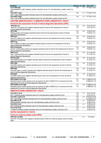| <b>Product</b>                                                                                   | Aliquot, ml Qty |          | <b>Ref code</b>  |
|--------------------------------------------------------------------------------------------------|-----------------|----------|------------------|
| <b>VLK-CMV-IgG</b>                                                                               | 0,5             | ≥ 1      | P-13G-L1-0,5     |
| Cytomegalovirus IgG antibody positive standard serum for intra-laboratory quality control by     |                 |          |                  |
| EIA                                                                                              |                 |          |                  |
| VLK-HSV-1-IgG                                                                                    | 0,5             | $\geq 1$ | P-14G-L1-0,5     |
| HSV-1 IgG antibody positive standard serum for intra-laboratory quality control by EIA           |                 |          |                  |
| VLK-HSV-2-IgG                                                                                    | 0,5             | $\geq 1$ | P-17G-L1-0,5     |
| HSV-2 IgG antibody positive standard serum for intra-laboratory quality control by EIA           |                 |          |                  |
| <b>ENZYME IMMUNOASSAY &amp; IMMUNOCHEMILUMINISCENT ASSAY</b>                                     |                 |          |                  |
| Panels for the assessment of work of clinical diagnostic laboratories (SPK)                      |                 |          |                  |
|                                                                                                  |                 |          |                  |
| <b>SPK-HIV-1/2</b>                                                                               | 0,5             | $\geq 5$ | P-01-Q1-0,5      |
| Anti-HIV-1/2 positive and negative standard panel of sera for the assessment of work of          | 1,0             |          | $P-01-Q1-1,0$    |
| clinical diagnostic laboratories                                                                 |                 |          |                  |
| <b>SPK-HBs</b>                                                                                   | 0,5             | $\geq 5$ | P-02-Q1-0,5      |
| HBsAg positive and negative standard panel of sera for the assessment of work of clinical        | 1,0             |          | $P-02-Q1-1,0$    |
| diagnostic laboratories                                                                          |                 |          |                  |
| <b>SPK-HCV</b>                                                                                   | 0,5             | $\geq 5$ | P-03-Q1-0,5      |
| Anti-HCV positive and negative standard panel of sera for the assessment of work of clinical     | 1,0             |          | $P-03-Q1-1,0$    |
| diagnostic laboratories                                                                          |                 |          |                  |
| <b>SPK-Trep</b>                                                                                  | 0,5             | $\geq 5$ | P-04-Q1-0,5      |
| Anti-T.pallidum positive and negative standard panel of sera for the assessment of work of       | 1,0             |          | $P-04-Q1-1,0$    |
| clinical diagnostic laboratories                                                                 |                 |          |                  |
| SPK-Chlamydia                                                                                    | 0,5             | $\geq 5$ | P-09-Q1-0,5      |
| Anti-Ch. trachomatis positive and negative standard panel of sera for the assessment of work of  | 1,0             |          | $P-09-Q1-1,0$    |
| clinical diagnostic laboratories                                                                 |                 |          |                  |
| <b>SPK-Toxo</b>                                                                                  | 0,5             | $\geq 5$ | P-11-Q1-0,5      |
| Anti-T. gondii positive and negative standard panel of sera for the assessment of work of        | 1,0             |          | P-11-Q1-1,0      |
| clinical diagnostic laboratories                                                                 |                 |          |                  |
| <b>SPK-Rubella</b>                                                                               | 0,5             | $\geq 5$ | P-12-Q1-0,5      |
| Anti-Rubella positive and negative standard panel of sera for the assessment of work of clinical | 1,0             |          | P-12-Q1-1,0      |
| diagnostic laboratories                                                                          |                 |          |                  |
| <b>SPK-CMV</b>                                                                                   | 0,5             | $\geq 5$ | P-13-Q1-0,5      |
| Anti-CMV positive and negative standard panel of sera for the assessment of work of clinical     | 1,0             |          | $P-13-Q1-1,0$    |
| diagnostic laboratories                                                                          |                 |          |                  |
| <b>SPK-HSV</b>                                                                                   | 0,5             | $\geq 5$ | P-14-Q1-0,5      |
| Anti-HSV types 1 and/or 2 positive and negative standard panel of sera for the assessment of     | 1,0             |          | $P-14-Q1-1,0$    |
| work of clinical diagnostic laboratories                                                         |                 |          |                  |
| <b>SPK-EBV</b>                                                                                   | 0,5             | $\geq 5$ | P-18-Q1-0,5      |
| Anti-EBV positive and negative standard panel of sera for the assessment of work of clinical     | 1,0             |          | $P-18-Q1-1,0$    |
| diagnostic laboratories                                                                          |                 |          |                  |
| SPK-SARS-CoV-2-IgG                                                                               | 0,1             |          | ≥ 5 P-26G-Q1-0,5 |
| Standard panel of sera reactive and not reactive for IgG to SARS-CoV-2 coronavirus for the       | 1,0             |          | P-26G-Q1-1,0     |
| assessment of work of clinical diagnostic laboratories                                           |                 |          |                  |
| SPK-SARS-CoV-2-IgM                                                                               | 0,1             | $\geq 5$ | P-26M-Q1-0,5     |
| Standard panel of sera reactive and not reactive for IgM to SARS-CoV-2 coronavirus for the       | 1,0             |          | P-26M-Q1-1,0     |
| assessment of work of clinical diagnostic laboratories                                           |                 |          |                  |
| <b>IMMUNOCHEMILUMINISCENT ASSAY</b>                                                              |                 |          |                  |
|                                                                                                  |                 |          |                  |
| <b>VLK-HIV-1-CLIA</b>                                                                            | 0,5             | $\geq 1$ | P-01-L2-0.5      |
| HIV-1 antibody positive standard serum for intra-laboratory quality control by CLIA              | 1,0             |          | $P-01-L2-1,0$    |
| VLK-HIV-1-p24-CLIA                                                                               | 0,5             | ≥ 1      | P-01Ag-L2-0,5    |
| HIV-1 p24 antigen positive standard serum for intra-laboratory quality control by CLIA           | 1,0             |          | P-01Ag-L2-1,0    |
| <b>VLK-HBs-CLIA</b>                                                                              | 0,5             | $\geq 1$ | $P-02-L2-0,5$    |
| HBsAg positive standard serum for intra-laboratory quality control by CLIA                       | 1,0             |          | P-02-L2-1,0      |
| <b>VLK-HCV-CLIA</b>                                                                              | 0,5             | $\geq 1$ | $P-03-L2-0,5$    |
| HCV antibody positive standard serum for intra-laboratory quality control by CLIA                | 1,0             |          | $P-03-L2-1,0$    |
| <b>VLK-Trep-CLIA</b>                                                                             | 0,5             | $\geq 1$ | $P-04-L2-0,5$    |
| T.pallidum antibody positive standard serum for intra-laboratory quality control by CLIA         | 1,0             |          | P-04-L2-1,0      |
| <b>RAPID DIAGNOSTIC TESTS</b>                                                                    |                 |          |                  |
| <b>Panels for external quality control (SPK)</b>                                                 |                 |          |                  |
| SPK-HIV-1/2-RDT                                                                                  |                 | $\geq 1$ | $P-01-Q3$        |
| Anti-HIV-1/2 positive and negative standard panel of sera for external quality control of rapid  |                 |          |                  |
| tests                                                                                            |                 |          |                  |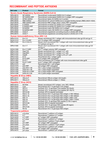## **RECOMBINANT AND PEPTIDE ANTIGENS**

| <b>Ref code</b>                | <b>Product</b>                         | <b>Format</b>                                                                                                |
|--------------------------------|----------------------------------------|--------------------------------------------------------------------------------------------------------------|
|                                |                                        | <b>Severe Acute Respiratory Syndrome (SARS-CoV-2)</b>                                                        |
| <b>BPB-26010</b>               | NP-SARS2                               | Recombinant nucleocapsid SARS-CoV-2 antigen                                                                  |
| BCB-26010                      | NP-SARS2-HRP                           | Recombinant nucleocapsid SARS-CoV-2 antigen HRP conjugated                                                   |
| BPB-26020                      | SPIKE-SARS2                            | Recombinant Spike (S) SARS-CoV-2 protein                                                                     |
| BPB-26030                      | RBD-SARS2                              | Recombinant S1 subunit SARS-CoV-2 receptor-binding domain (RBD) (N331-V524)                                  |
| BCB-26030                      | RBD-SARS2-HRP                          | Recombinant RBD antigen (N331-V524) HRP conjugated                                                           |
| BPB-26040                      | E-SARS2                                | Recombinant envelope (E) SARS-CoV-2 antigen                                                                  |
| BCB-26040                      | E-SARS2-HRP                            | Recombinant envelope (E) SARS-CoV-2 antigen HRP conjugated                                                   |
| BPB-26050                      | M-SARS2                                | Recombinant matrix (M) SARS-CoV-2 antigen                                                                    |
| BCB-26050                      | M-SARS2-HRP                            | Recombinant matrix (M) SARS-CoV-2 antigen HRP conjugated                                                     |
| BPB-26060                      | ACE2-F                                 | Recombinant angiotensin-converting enzyme 2 (ACE2) (M1-S730)                                                 |
| BPB-26070                      | ACE2-T                                 | Recombinant angiotensin-converting enzyme 2 (ACE2) (I21-I119)                                                |
|                                | Human Immunodeficiency Virus (HIV-1,2) |                                                                                                              |
| <b>BPB-01010</b>               | $Env1-S$                               | Mosaic recombinant HIV-1 antigen with immunodominant sites gp120 and gp 41                                   |
| BCB-01010                      | Env1-S-HRP                             | env1-S antigen HRP conjugated<br>Mosaic short recombinant HIV-1 antigen with more immunodominant sites gp120 |
| BPB-01040                      | Env1(120-41)                           | (V3 epitope) and gp 41                                                                                       |
| BPB-01080                      | $Env1-T$                               | Mosaic short recombinant HIV-1 antigen with more immunodominant sites gp120                                  |
|                                |                                        | and gp 41                                                                                                    |
| BCB-01080<br>BPB-01030         | Env1-T-HRP                             | env1-T antigen polymer HRP conjugated                                                                        |
| BPB-01033                      | Gag1725<br>Gag BSH                     | Mosaic recombinant HIV-1 antigen: p17, p25<br>Mosaic recombinant HIV-1 antigen: p17, p25                     |
| BPB-01034                      | Gag36                                  | Mosaic recombinant HIV-1 antigen: p15, p17, p24                                                              |
| BPB-01020                      | Env <sub>2</sub>                       | Recombinant HIV-1 antigen gp36                                                                               |
| BCB-01020                      | Env2-HRP                               | env2 antigen HRP conjugated                                                                                  |
| BPB-01060                      | Env2-T                                 | Short recombinant HIV-2 antigen with more immunodominant sites gp36                                          |
| BCB-01060                      | Env2-T-HRP                             | env2-T antigen HRP conjugated                                                                                |
| BPB-01070                      | p24                                    | Recombinant HIV-1 p24 antigen                                                                                |
| BCB-01070                      | p24-HRP                                | p24 antigen HRP conjugated                                                                                   |
| BCB-01092                      | pd2-4HIV-1-Bi                          | HIV-1 pd2-4 antigen biotinilated                                                                             |
| BCB-01094                      | pd35-HIV-1-Bi                          | HIV-1 pd35 antigen biotinilated                                                                              |
| BCB-01095                      | pd36-HIV-2-HRP                         | HIV-2 pd36 antigen HRP conjugated                                                                            |
| BCB-01096                      | pd36-HIV-2-Bi                          | HIV-2 pd36 antigen biotinilated                                                                              |
| <b>Hepatitis B Virus (HBV)</b> |                                        |                                                                                                              |
| BPB-02010                      | HBcore-F<br><b>HBcore-S</b>            | Recombinant HBcore antigen (full length)                                                                     |
| BPB-02011                      |                                        | Recombinant HBcore antigen (1-156aa)                                                                         |
| <b>Hepatitis C Virus (HCV)</b> |                                        |                                                                                                              |
| BPB-03010                      | NC34ab                                 | Mosaic recombinant HCV antigen: core, NS3, NS4ab                                                             |
| BPB-03020                      | Core                                   | Recombinant HCV 1b genotype Core antigen                                                                     |
| BPB-03070                      | SPCV1                                  | Synthetic HCV 1b genotype Core peptide (S2-Gly44)                                                            |
| BPB-03080<br>BCB-03080         | SPCV2<br>SPCV2-Bi                      | Synthetic HCV 1b genotype Core peptide (M1-Gly73)<br>Synthetic SPCV2 peptide biotinilated                    |
| BPB-03030                      | <b>NS3-C 1b</b>                        | Recombinant HCV 1b genotype NS3 antigen (1189-1465aa)                                                        |
| BPB-03033                      | NS3-C 3a                               | Recombinant HCV 3a genotype NS3 antigen (1189-1465aa)                                                        |
| BPB-03040                      | <b>NS4 1b</b>                          | Recombinant HCV 1b genotype NS4 antigen (1689-1735)                                                          |
| BPB-03041                      | NS4 3a                                 | Recombinant HCV 3a genotype NS4 antigen (1689-1735aa)                                                        |
| BPB-03070                      | SPCV3                                  | Synthetic HCV 1b genotype NS4 peptide (C100-3 region)                                                        |
| BCB-03070                      | SPCV3-Bi                               | Synthetic SPCV3 peptide biotinilated                                                                         |
| BPB-03080                      | SPCV4                                  | Synthetic HCV 1b genotype NS4 peptide (59 region)                                                            |
| BCB-03080                      | SPCV4-Bi                               | Synthetic SPCV4 peptide biotinilated                                                                         |
| BPB-03060                      | NS <sub>5a</sub>                       | Recombinant HCV 1b genotype NS5 antigen                                                                      |
| <b>Treponema pallidum</b>      |                                        |                                                                                                              |
| BPB-04010<br>BPB-04020         | $p15-\beta$ Gal                        | Recombinant T.pallidum p15 antigen                                                                           |
| BCB-04020                      | p17<br>p17-HRP                         | Recombinant T.pallidum p17 antigen<br>p17 antigen HRP conjugated                                             |
| BPB-04050                      | $p17-\beta$ Gal                        | Recombinant T.pallidum p17 antigen                                                                           |
| BPB-04030                      | p41                                    | Recombinant T.pallidum TmpA antigen                                                                          |
| BCB-04030                      | p41-HRP                                | p41 antigen HRP conjugated                                                                                   |
| BPB-04060                      | $p41-\beta$ Gal                        | Recombinant T.pallidum TmpA antigen                                                                          |
| BPB-04040                      | p47                                    | Recombinant T.pallidum p47 antigen                                                                           |
| BCB-04040                      | p47-HRP                                | p47 antigen HRP conjugated                                                                                   |
| BPB-04070                      | $p47 - \beta$ Gal                      | Recombinant T.pallidum p47 antigen                                                                           |
|                                |                                        |                                                                                                              |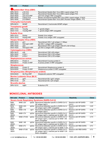| <b>Ref code</b>              | <b>Product</b>                                | <b>Format</b>                                                      |  |  |  |
|------------------------------|-----------------------------------------------|--------------------------------------------------------------------|--|--|--|
|                              | <b>Epstein-Barr Virus (EBV)</b>               |                                                                    |  |  |  |
| <b>BPB-18010</b>             | p18-VCA                                       | Recombinant Epstein-Barr Virus (EBV) capsid antigen P18            |  |  |  |
| BPB-18020                    | $p23-VCA$                                     | Recombinant Epstein-Barr Virus (EBV) capsid antigen P23            |  |  |  |
| <b>BCB-18020</b>             | p23-VCA-HRP                                   | p23-VCA antigen HRP conjugated                                     |  |  |  |
| BPB-18030                    | p18/23-VCA                                    | Mosaic recombinant Epstein-Barr Virus (EBV) capsid antigen, P18/23 |  |  |  |
| BPB-18040                    | p72-EBNA1                                     | Recombinant Epstein-Barr Virus (EBV) Nuclear Antigen EBNA1, P72    |  |  |  |
| <b>Chlamydia trachomatis</b> |                                               |                                                                    |  |  |  |
| BPB-09010                    | <b>MOMP</b>                                   | Recombinant C.trachomatis MOMP antigen                             |  |  |  |
| <b>Toxoplasma gondii</b>     |                                               |                                                                    |  |  |  |
| <b>BPB-11010</b>             | ToxoAg                                        | T. gondii antigen                                                  |  |  |  |
| <b>BCB-11010</b>             | ToxoAg-HRP                                    | T. gondii antigen HRP conjugated                                   |  |  |  |
| <b>Rubella Virus</b>         |                                               |                                                                    |  |  |  |
| BPB-12010                    | RubAg                                         | Rubella Virus antigen                                              |  |  |  |
| <b>BCB-12010</b>             | RubAg-HRP                                     | Rubella Virus antigen HRP conjugated                               |  |  |  |
|                              | <b>Herpes Simplex Virus (HSV)</b>             |                                                                    |  |  |  |
| <b>BPB-14010</b>             | gG1                                           | Recombinant HSV-1 gG antigen (1-189aa)                             |  |  |  |
| <b>BCB-14010</b>             | HSV1gG1-HRP                                   | gG HSV-1 antigen HRP conjugated                                    |  |  |  |
| BPB-14020                    | gG <sub>2</sub>                               | Recombinant HSV-2 gG antigen (525-573, 601-615aa)                  |  |  |  |
| BCB-14020                    | HSV2gG2-HRP                                   | gG HSV-2 antigen HRP conjugated                                    |  |  |  |
| <b>Cytomegalovirus (CMV)</b> |                                               |                                                                    |  |  |  |
| BPB-16010                    | p28                                           | Recombinant CMV p28 antigen                                        |  |  |  |
| <b>BPB-16020</b>             | p150-1                                        | Recombinant CMV p150 antigen                                       |  |  |  |
| <b>BPB-16021</b>             | p150-2                                        | Recombinant CMV p150 antigen                                       |  |  |  |
| <b>Staphylococcus aureus</b> |                                               |                                                                    |  |  |  |
| BPB-00010                    | Protein A                                     | Recombinant S.aureus protein A                                     |  |  |  |
| <b>BCB-00010</b>             | Protein A-HRP                                 | S.aureus protein A HRP conjugated                                  |  |  |  |
| <b>Streptococcus</b>         |                                               |                                                                    |  |  |  |
| <b>BPB-00020</b>             | Protein G                                     | Recombinant Streptococcus protein G                                |  |  |  |
| <b>BCB-00020</b>             | Protein G-HRP                                 | Streptococcus protein G HRP conjugated                             |  |  |  |
|                              | <b>Streptomycetes (Streptomyces avidinii)</b> |                                                                    |  |  |  |
| <b>BCB-00025</b>             | Str-Poly-HRP                                  | Streptavidin polymer HRP conjugated                                |  |  |  |
|                              | <b>Bovine Leukemia Virus (BLV)</b>            |                                                                    |  |  |  |
| BPB-10110                    | gp51                                          | Recombinant BLV gp51 antigen                                       |  |  |  |
| <b>BPB-10120</b>             | p24                                           | Recombinant BLV p24 antigen                                        |  |  |  |
| <b>Brucella abortus</b>      |                                               |                                                                    |  |  |  |
| BPB-10210                    | AgB3                                          | <b>B.abortus LPS</b>                                               |  |  |  |

# **MONOCLONAL ANTIBODIES**

| <b>Ref code</b>                                       | <b>Product</b>          |       | <b>Isotype Description</b>                                                                                        | <b>Reactivity</b>                  | <b>Clone</b>     |  |
|-------------------------------------------------------|-------------------------|-------|-------------------------------------------------------------------------------------------------------------------|------------------------------------|------------------|--|
| <b>Severe Acute Respiratory Syndrome (SARS-CoV-2)</b> |                         |       |                                                                                                                   |                                    |                  |  |
| BAB-<br>26010                                         | <b>MAB 2.2D</b>         | laG2a | Monoclonal antibodies specific to SARS-CoV-2<br>NP antigen (IgG1)                                                 | Reactive with NP-SARS-<br>$CoV-2$  | 2.2D             |  |
| BCB-<br>26011                                         | MAB 2.2D-<br><b>HRP</b> | laG2a | Monoclonal antibodies specific to SARS-CoV-2<br>NP antigen (IgG1) HRP conjugated                                  | Reactive with NP-SARS-<br>$CoV-2$  | 2.2D             |  |
| BAB-<br>26020                                         | <b>MAB 4.1B</b>         | lgG1  | Monoclonal antibodies specific to SARS-CoV-2<br>NP antigen (IgG1)                                                 | Reactive with NP-SARS-<br>$CoV-2$  | 4.1B             |  |
| BAB-<br>26030                                         | <b>MAB 4.7H</b>         | lgG2a | Monoclonal antibodies specific to SARS-CoV-2<br>NP antigen (IgG1), matched pair for MAB 1.4B                      | Reactive with NP-SARS-<br>$CoV-2$  | 4.7H             |  |
| BCB-<br>26031                                         | MAB 4.7H-Bi             | laG2a | Monoclonal antibodies specific to SARS-CoV-2<br>NP antigen (IgG1), matched pair for MAB 1.4B<br>Biotin conjugated | Reactive with NP-SARS-<br>$CoV-2$  | 4.7H             |  |
| BAB-<br>26040                                         | <b>MAB 1.4B</b>         | lgG2a | Monoclonal antibodies specific to SARS-CoV-2<br>NP antigen (IgG1), matched pair for MAB 4.7H                      | Reactive with NP-SARS-<br>$CoV-2$  | 1.4B             |  |
| BAB-<br>26050                                         | MAB 4.F3                | laG2a | Monoclonal antibodies specific to SARS-CoV-2<br>NP antigen (IgG1), matched pair for MAB 11.D4                     | Reactive with RBD-SARS-<br>$CoV-2$ | 4.F <sub>3</sub> |  |
| BCB-<br>26051                                         | MAB 4.F3-Bi             | lgG2a | Monoclonal antibodies specific to SARS-CoV-2<br>NP antigen (IgG1), matched pair for MAB11.D4<br>Biotin conjugated | Reactive with RBD-SARS-<br>$CoV-2$ | 4.F3             |  |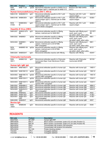| <b>Ref code</b>                             | <b>Product</b>                    |       | <b>Isotype Description</b>                                                                                             | <b>Reactivity</b>                                                               | <b>Clone</b>             |  |
|---------------------------------------------|-----------------------------------|-------|------------------------------------------------------------------------------------------------------------------------|---------------------------------------------------------------------------------|--------------------------|--|
| BAB-<br>26060                               | <b>MAB 11.D4</b>                  |       | IgG2b Monoclonal antibodies specific to SARS-CoV-2<br>NP antigen (IgG1), matched pair for MAB 4.F3                     | Reactive with RBD-SARS-<br>$CoV-2$                                              | 11.D4                    |  |
| Human Immunodeficiency Virus (HIV-1, HIV-2) |                                   |       |                                                                                                                        |                                                                                 |                          |  |
| <b>BAB-0105</b>                             | MAB282H10                         | lgG1  | Monoclonal antibodies specific to HIV-1 p24<br>capsid antigen (IgG1)                                                   | Reactive with HIV-1 p24<br>capsid antigen                                       | 282H10                   |  |
| BAB-0106                                    | MAB633E4                          | lgG1  | Monoclonal antibodies specific to HIV-1 p24<br>capsid antigen (IgG1), matched pair for MAB<br>282H10                   | Reactive with HIV-1 p24<br>capsid antigen                                       | 633E4                    |  |
| BCB-<br>01062                               | MAB633E4-<br>Bi                   | IgG1  | Monoclonal antibodies specific to HIV-1 p24<br>capsid antigen (IgG1), matched pair for MAB<br>282H10 Biotin conjugated | Reactive with HIV-1 p24<br>capsid antigen                                       | 633E4                    |  |
|                                             | <b>Hepatitis B Virus (HBV)</b>    |       |                                                                                                                        |                                                                                 |                          |  |
|                                             | BAB-0207 MAB2G12F3<br>B6          | IgG1  | Monoclonal antibodies specific to HBsAg<br>(ad/aw), matched pair for MAB 95E1                                          | Reactive with HBsAg ayw1,<br>ayw2, ayw3, ayw4,<br>ayr, adw2, adw4, adrq+, adrq- | 2G12F3<br>B <sub>6</sub> |  |
| BAB-0202 MAB95E1                            |                                   | lgG2a | Monoclonal antibodies specific to HBsAg<br>(ad/aw), matched pair to 2G12F3B6                                           | Reactive with HBsAg ayw1,<br>ayw2, ayw3, ayw4,<br>ayr, adw2, adw4, adrq+, adrq- | 95E1                     |  |
| <b>BCB-0202</b>                             | <b>MAB95E1-</b><br><b>HRP</b>     | lgG2a | Monoclonal antibodies specific to HBsAg<br>(ad/aw), matched pair to 2G12F3B6.<br>HRP conjugated                        | Reactive with HBsAg ayw1,<br>ayw2, ayw3, ayw4,<br>ayr, adw2, adw4, adrq+, adrq- | 95E1                     |  |
| BCB-<br>02021                               | MAB95E1-Bi                        | lgG2a | Monoclonal antibodies specific to HBsAg<br>(ad/aw), matched pair to 2G12F3B6.<br>Biotin conjugated                     | Reactive with HBsAg ayw1,<br>ayw2, ayw3, ayw4,<br>ayr, adw2, adw4, adrq+, adrq- | 95 E1                    |  |
| <b>BAB-0204</b>                             | <b>MAB553H7</b>                   | IgG1  | Monoclonal antibodies reactive with HBcAg                                                                              | Reactive with HBcAg                                                             | 553H7                    |  |
|                                             | <b>Chlamydia trachomatis</b>      |       |                                                                                                                        |                                                                                 |                          |  |
| BAB-<br>09011                               | MAB601G5                          | IgG1  | Monoclonal antibodies specific to Chlamydia<br>trachomatis Major Outer Membrane Protein<br>(MOMP)                      | Reactive with Chlamydia<br>trachomatis MOMP                                     | 601G5                    |  |
|                                             | Human IgG, IgM, IgA               |       |                                                                                                                        |                                                                                 |                          |  |
| <b>BAB-0001</b>                             | MAB156D11                         | lgG1  | Monoclonal antibodies specific to human IgG<br>(lgG1)                                                                  | Reactive with human IgG                                                         | 156D11                   |  |
| <b>BAB-0002</b>                             | MAB156C10                         | IgG2b | Monoclonal antibodies specific to human IgG<br>(lgG2b)                                                                 | Reactive with human IgG                                                         | 156C10                   |  |
| <b>BCB-0002</b>                             | MAB156C10-<br><b>HRP</b>          | lgG2b | Monoclonal antibodies specific to human IgG<br>(IgG2b) HRP conjugated                                                  | Reactive with human IgG                                                         | 156C10                   |  |
| <b>BAB-0003</b>                             | MAB153H11                         | lgG2b | Monoclonal antibodies specific to human IgG<br>(lgG2b)                                                                 | Reactive with human IgG                                                         | 153H11                   |  |
|                                             | BCB-0003 MAB153H11-<br><b>HRP</b> | lgG2b | Monoclonal antibodies specific to human IgG<br>(IgG2b) HRP conjugated                                                  | Reactive with human IgG                                                         | 153H11                   |  |
| <b>BAB-0004</b>                             | MAB48B4.2                         | lgG1  | Monoclonal antibodies specific to human IgM                                                                            | Reactive with human IgM                                                         | 48B4.2                   |  |
| <b>BAB-0005</b>                             | MAB43H3.2                         | IgG1  | Monoclonal antibodies specific to human IgM                                                                            | Reactive with human IgM                                                         | 43H3.2                   |  |
| <b>BCB-0005</b>                             | MAB43H3.2-<br><b>HRP</b>          | IgG1  | Monoclonal antibodies specific to human IgM<br>HRP conjugated                                                          | Reactive with human IgM                                                         | 43H3.2                   |  |
| <b>BAB-0006</b>                             | MAB45A2                           | IgG1  | Monoclonal antibodies specific to human IgM                                                                            | Reactive with human IgM                                                         | 45A2                     |  |
| <b>BAB-0007</b>                             | MAB413E7                          | IgG1  | Monoclonal antibodies specific to human IqA                                                                            | Reactive with human IgA                                                         | 413E7                    |  |
| <b>BCB-0007</b>                             | MAB413E7-<br><b>HRP</b>           | lgG1  | Monoclonal antibodies specific to human IgA<br>HRP conjugated                                                          | Reactive with human IgA                                                         | 413E7                    |  |
| <b>BAB-0008</b>                             | MAB45H7                           | IgG1  | Monoclonal antibodies specific to human IgM                                                                            | Reactive with human IgM                                                         | 45H7                     |  |
| <b>Bovine IgG</b>                           |                                   |       |                                                                                                                        |                                                                                 |                          |  |
| BAB-<br>10001                               | MAB83A8                           | IgG1  | Monoclonal antibodies specific to bovine IgG                                                                           | Reactive with bovine IgG                                                        | 83A8                     |  |

# **REAGENTS**

| <b>Ref code</b> | <b>Product</b> | <b>Description</b>                                              |
|-----------------|----------------|-----------------------------------------------------------------|
| BCB-P003        | MF-HRP         | Human IgM-HRP                                                   |
| BPB-00030       | BSC-C          | Block solution concentrate: Iysate of E.coli cells (Fraction C) |
| BPB-00031       | BSC-M          | Block solution concentrate: Iysate of E.coli cells (Fraction M) |
| BPB-00032       | PM-X           | Concentrated milk proteins cold extraction                      |
| BPB-00033       | PM-T           | Concentrated milk proteins hot extraction                       |
| BPB-00034       | $R3-1/4X$      | Proteic blocking solution                                       |
| <b>TCS-001</b>  | CPK-1          | Conjugate stabilizer                                            |
| <b>TCS-002</b>  | CPK-2          | Conjugate stabilizer                                            |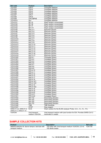| <b>Ref code</b>       | <b>Product</b>        | <b>Description</b>                                                      |
|-----------------------|-----------------------|-------------------------------------------------------------------------|
| <b>TCS-003</b>        | CPK-3                 | Conjugate stabilizer                                                    |
| <b>TCS-004</b>        | $CFK-4$               | Conjugate stabilizer                                                    |
| <b>TCS-005</b>        | $CFK-5$               | Conjugate stabilizer                                                    |
| <b>TCS-006</b>        | CPK-6                 | Conjugate stabilizer                                                    |
| <b>TCS-007</b>        | CPK-7                 | Conjugate stabilizer                                                    |
| <b>TCS-008</b>        | CPK-8                 | Conjugate stabilizer                                                    |
| <b>TCS-009</b>        | CPK-3BPhB             | Conjugate stabilizer                                                    |
| <b>TCS-0010</b>       | SA <sub>1</sub>       | Conjugate stabilizer                                                    |
| <b>TCS-0101</b>       | RP-1A                 | Wash solution concentrated                                              |
| <b>TCS-0102</b>       | $RP-1B$               | Wash solution concentrated                                              |
| <b>TCS-0103</b>       | $RP-1T$               | Wash solution concentrated                                              |
| <b>TCS-0104</b>       | <b>RP-1T1</b>         | Wash solution concentrated                                              |
| <b>TCS-0105</b>       | <b>PPC-3-1</b>        | Specimen Diluent                                                        |
| <b>TCS-0106</b>       | $\overline{PPC}$ -3-2 | Specimen Diluent                                                        |
| <b>TCS-0107</b>       | PPC-3-3               | Specimen Diluent                                                        |
| <b>TCS-0108</b>       | <b>PPC-3-4</b>        | Specimen Diluent                                                        |
| <b>TCS-0109</b>       | <b>PPC-3-5</b>        | Specimen Diluent                                                        |
| <b>TCS-01010</b>      | <b>PPC-3-7</b>        | Specimen Diluent                                                        |
|                       |                       |                                                                         |
| TCS-01011             | <b>PPC-3-8</b>        | Specimen Diluent                                                        |
| TCS-01012             | <b>PPC-3-9</b>        | Specimen Diluent                                                        |
| TCS-01013             | PPC-3-10              | Specimen Diluent                                                        |
| TCS-01014             | <b>PPC-3-11</b>       | Specimen Diluent                                                        |
| <b>TCS-01015</b>      | PPC-3-12              | Specimen Diluent                                                        |
| <b>TCS-01016</b>      | PPC-3-13              | Specimen Diluent                                                        |
| <b>TCS-01017</b>      | <b>PPC-3-14</b>       | Specimen Diluent                                                        |
| <b>TCS-01018</b>      | PPC-3-16              | Specimen Diluent                                                        |
| TCS-01019             | <b>PPC-3-17</b>       | Specimen Diluent                                                        |
| <b>TCS-01020</b>      | <b>PPK-4-1</b>        | Conjugate Diluent                                                       |
| TCS-01021             | <b>PPK-4-2</b>        | Conjugate Diluent                                                       |
| <b>TCS-01022</b>      | <b>PPK-4-4</b>        | Conjugate Diluent                                                       |
| TCS-01023             | <b>PPK-4-6</b>        | Conjugate Diluent                                                       |
| TCS-01024             | <b>PPK-4-7</b>        | Conjugate Diluent                                                       |
| <b>TCS-01025</b>      | <b>PPK-4-8</b>        | Conjugate Diluent                                                       |
| TCS-01026             | <b>PPK-4-9</b>        | Conjugate Diluent                                                       |
| <b>TCS-01027</b>      | PPK-4-10              | Conjugate Diluent                                                       |
| TCS-01028             | <b>PPK-4-11</b>       | Conjugate Diluent                                                       |
| TCS-01029             | <b>PPK-4-12</b>       | Conjugate Diluent                                                       |
| TCS-01030             | <b>PPK-4-13</b>       | Conjugate Diluent                                                       |
| TCS-01031             | <b>PPK-4-17</b>       | Conjugate Diluent                                                       |
| <b>TCS-01032</b>      | <b>PPK-4-18</b>       | Conjugate Diluent                                                       |
| TCS-01033             | PPK-4-14/1            | Conjugate Diluent                                                       |
| TCS-01034             | PPK-4-14/2            | Conjugate Diluent                                                       |
| TCS-01035             | PPK-4-15              | Conjugate Diluent                                                       |
| TCS-01036             | PPK-4-15/2            | Conjugate Diluent                                                       |
| TCS-01037             | PPK-4-16              | Conjugate Diluent                                                       |
| TCS-01038             | PPK-4-19              | Conjugate Diluent                                                       |
| TCS-01039             | <b>PPK-4-20</b>       | Conjugate Diluent                                                       |
| TCS-01040             | <b>PPK-4-21</b>       | Conjugate Diluent                                                       |
| TCS-01041             | <b>PPK-4-22</b>       | Conjugate Diluent                                                       |
| TCS-01042             | <b>DR-11G</b>         | <b>Dissociating Solution</b>                                            |
| TCS-01043             | <b>DR-12G</b>         | <b>Dissociating Solution</b>                                            |
| TCS-01044             | <b>DR-13G</b>         | <b>Dissociating Solution</b>                                            |
| TCS-01045             | <b>DR-17G</b>         | <b>Dissociating Solution</b>                                            |
| TCS-01046             | <b>TMB</b>            | <b>TMB Substrate</b>                                                    |
| <b>TCS-01047</b>      | <b>STOP</b>           | Stop-reagent                                                            |
| AWS-01-0,2, AWS-01-3, | <b>KLIN</b>           | Wash solution for the ELISA analyzer Probe, 0,2 L, 3 L, 5 L, 10 L       |
| AWS-01-5, AWS-01-10   |                       |                                                                         |
| <b>VLM-DIA</b>        | Viral transport       | Viral transport medium with lysis function for EIA. Provides SARS-CoV-2 |
|                       | medium VLM-DIA        | inactivation in swabs                                                   |
|                       |                       |                                                                         |

# **SAMPLE COLLECTION KITS**

| <b>Product</b>                                        | <b>Description</b>                                             | <b>Ref</b> code |
|-------------------------------------------------------|----------------------------------------------------------------|-----------------|
| Material selection kit: dacron tampon, test-tube with | 100 tubes with Viral transport medium VLM-DIA, 0,5 ml; VLM-100 |                 |
| transport medium                                      | 100 sterile swabs                                              |                 |